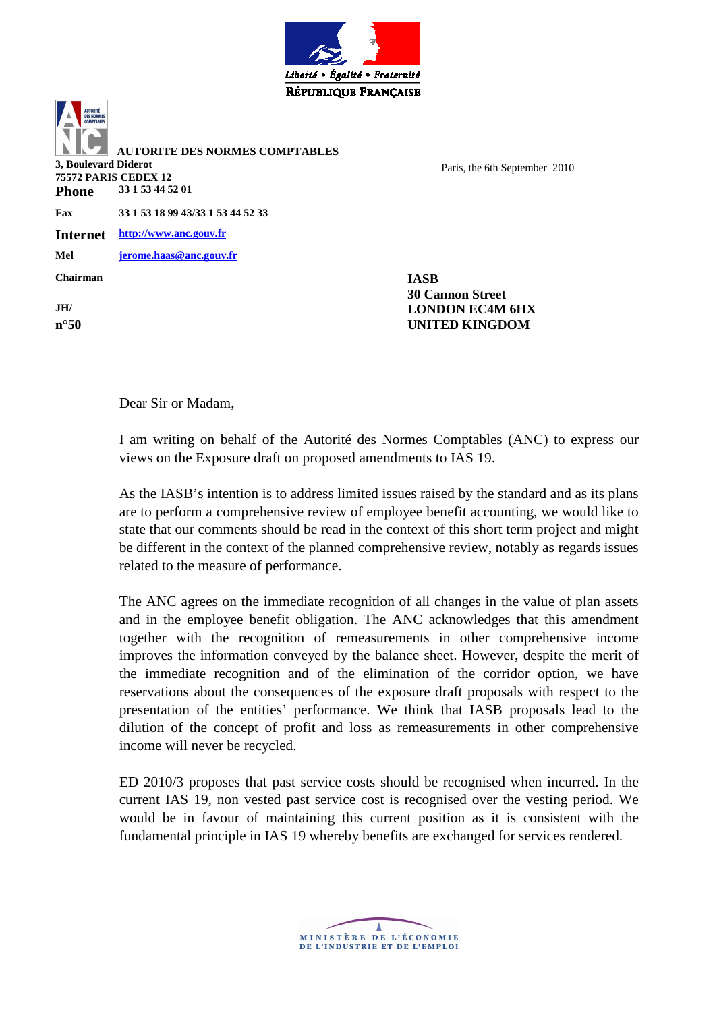

 **AUTORITE DES NORMES COMPTABLES 3, Boulevard Diderot 75572 PARIS CEDEX 12**  Paris, the 6th September 2010 **Phone 33 1 53 44 52 01 Fax 33 1 53 18 99 43/33 1 53 44 52 33 Internet http://www.anc.gouv.fr Mel jerome.haas@anc.gouv.fr Chairman IASB 30 Cannon Street JH/ LONDON EC4M 6HX n°50 UNITED KINGDOM**

Dear Sir or Madam,

I am writing on behalf of the Autorité des Normes Comptables (ANC) to express our views on the Exposure draft on proposed amendments to IAS 19.

As the IASB's intention is to address limited issues raised by the standard and as its plans are to perform a comprehensive review of employee benefit accounting, we would like to state that our comments should be read in the context of this short term project and might be different in the context of the planned comprehensive review, notably as regards issues related to the measure of performance.

The ANC agrees on the immediate recognition of all changes in the value of plan assets and in the employee benefit obligation. The ANC acknowledges that this amendment together with the recognition of remeasurements in other comprehensive income improves the information conveyed by the balance sheet. However, despite the merit of the immediate recognition and of the elimination of the corridor option, we have reservations about the consequences of the exposure draft proposals with respect to the presentation of the entities' performance. We think that IASB proposals lead to the dilution of the concept of profit and loss as remeasurements in other comprehensive income will never be recycled.

ED 2010/3 proposes that past service costs should be recognised when incurred. In the current IAS 19, non vested past service cost is recognised over the vesting period. We would be in favour of maintaining this current position as it is consistent with the fundamental principle in IAS 19 whereby benefits are exchanged for services rendered.

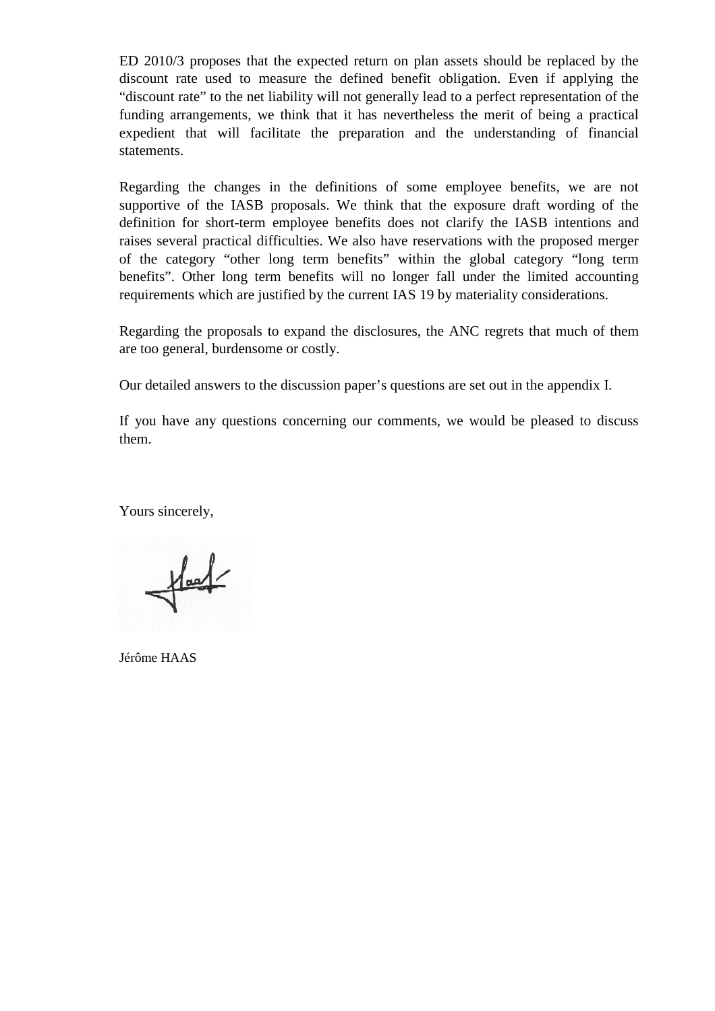ED 2010/3 proposes that the expected return on plan assets should be replaced by the discount rate used to measure the defined benefit obligation. Even if applying the "discount rate" to the net liability will not generally lead to a perfect representation of the funding arrangements, we think that it has nevertheless the merit of being a practical expedient that will facilitate the preparation and the understanding of financial statements.

Regarding the changes in the definitions of some employee benefits, we are not supportive of the IASB proposals. We think that the exposure draft wording of the definition for short-term employee benefits does not clarify the IASB intentions and raises several practical difficulties. We also have reservations with the proposed merger of the category "other long term benefits" within the global category "long term benefits". Other long term benefits will no longer fall under the limited accounting requirements which are justified by the current IAS 19 by materiality considerations.

Regarding the proposals to expand the disclosures, the ANC regrets that much of them are too general, burdensome or costly.

Our detailed answers to the discussion paper's questions are set out in the appendix I.

If you have any questions concerning our comments, we would be pleased to discuss them.

Yours sincerely,

 $\frac{1}{\sqrt{2}}$ 

Jérôme HAAS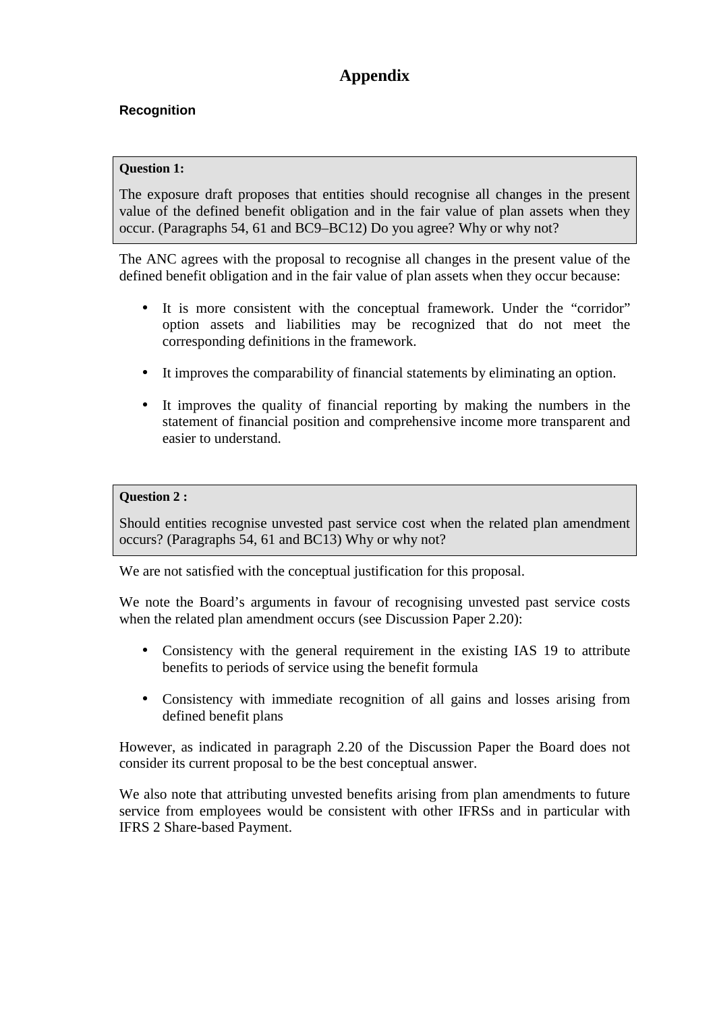# **Appendix**

# **Recognition**

## **Question 1:**

The exposure draft proposes that entities should recognise all changes in the present value of the defined benefit obligation and in the fair value of plan assets when they occur. (Paragraphs 54, 61 and BC9–BC12) Do you agree? Why or why not?

The ANC agrees with the proposal to recognise all changes in the present value of the defined benefit obligation and in the fair value of plan assets when they occur because:

- It is more consistent with the conceptual framework. Under the "corridor" option assets and liabilities may be recognized that do not meet the corresponding definitions in the framework.
- It improves the comparability of financial statements by eliminating an option.
- It improves the quality of financial reporting by making the numbers in the statement of financial position and comprehensive income more transparent and easier to understand.

## **Question 2 :**

Should entities recognise unvested past service cost when the related plan amendment occurs? (Paragraphs 54, 61 and BC13) Why or why not?

We are not satisfied with the conceptual justification for this proposal.

We note the Board's arguments in favour of recognising unvested past service costs when the related plan amendment occurs (see Discussion Paper 2.20):

- Consistency with the general requirement in the existing IAS 19 to attribute benefits to periods of service using the benefit formula
- Consistency with immediate recognition of all gains and losses arising from defined benefit plans

However, as indicated in paragraph 2.20 of the Discussion Paper the Board does not consider its current proposal to be the best conceptual answer.

We also note that attributing unvested benefits arising from plan amendments to future service from employees would be consistent with other IFRSs and in particular with IFRS 2 Share-based Payment.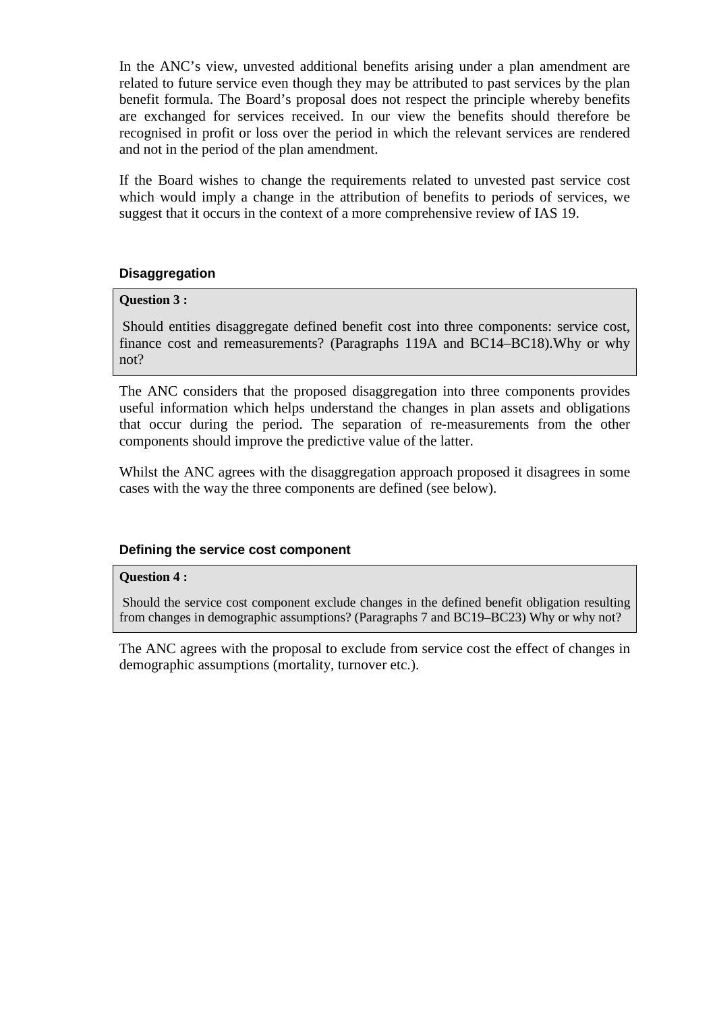In the ANC's view, unvested additional benefits arising under a plan amendment are related to future service even though they may be attributed to past services by the plan benefit formula. The Board's proposal does not respect the principle whereby benefits are exchanged for services received. In our view the benefits should therefore be recognised in profit or loss over the period in which the relevant services are rendered and not in the period of the plan amendment.

If the Board wishes to change the requirements related to unvested past service cost which would imply a change in the attribution of benefits to periods of services, we suggest that it occurs in the context of a more comprehensive review of IAS 19.

## **Disaggregation**

## **Question 3 :**

Should entities disaggregate defined benefit cost into three components: service cost, finance cost and remeasurements? (Paragraphs 119A and BC14–BC18).Why or why not?

The ANC considers that the proposed disaggregation into three components provides useful information which helps understand the changes in plan assets and obligations that occur during the period. The separation of re-measurements from the other components should improve the predictive value of the latter.

Whilst the ANC agrees with the disaggregation approach proposed it disagrees in some cases with the way the three components are defined (see below).

## **Defining the service cost component**

#### **Question 4 :**

 Should the service cost component exclude changes in the defined benefit obligation resulting from changes in demographic assumptions? (Paragraphs 7 and BC19–BC23) Why or why not?

The ANC agrees with the proposal to exclude from service cost the effect of changes in demographic assumptions (mortality, turnover etc.).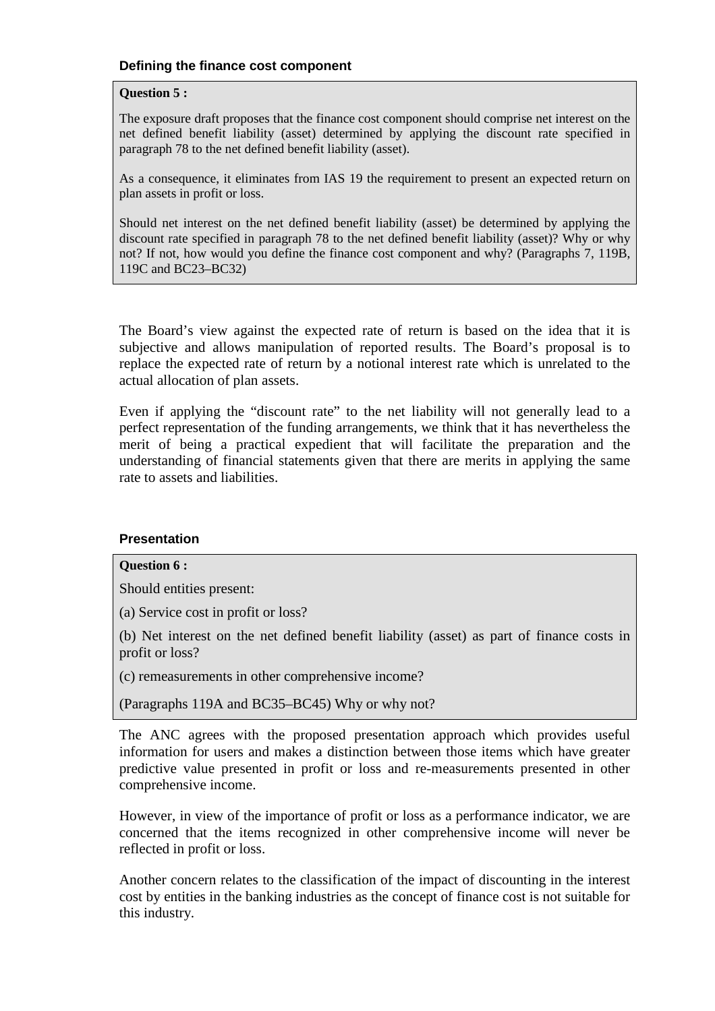#### **Defining the finance cost component**

#### **Question 5 :**

The exposure draft proposes that the finance cost component should comprise net interest on the net defined benefit liability (asset) determined by applying the discount rate specified in paragraph 78 to the net defined benefit liability (asset).

As a consequence, it eliminates from IAS 19 the requirement to present an expected return on plan assets in profit or loss.

Should net interest on the net defined benefit liability (asset) be determined by applying the discount rate specified in paragraph 78 to the net defined benefit liability (asset)? Why or why not? If not, how would you define the finance cost component and why? (Paragraphs 7, 119B, 119C and BC23–BC32)

The Board's view against the expected rate of return is based on the idea that it is subjective and allows manipulation of reported results. The Board's proposal is to replace the expected rate of return by a notional interest rate which is unrelated to the actual allocation of plan assets.

Even if applying the "discount rate" to the net liability will not generally lead to a perfect representation of the funding arrangements, we think that it has nevertheless the merit of being a practical expedient that will facilitate the preparation and the understanding of financial statements given that there are merits in applying the same rate to assets and liabilities.

#### **Presentation**

## **Question 6 :**

Should entities present:

(a) Service cost in profit or loss?

(b) Net interest on the net defined benefit liability (asset) as part of finance costs in profit or loss?

(c) remeasurements in other comprehensive income?

(Paragraphs 119A and BC35–BC45) Why or why not?

The ANC agrees with the proposed presentation approach which provides useful information for users and makes a distinction between those items which have greater predictive value presented in profit or loss and re-measurements presented in other comprehensive income.

However, in view of the importance of profit or loss as a performance indicator, we are concerned that the items recognized in other comprehensive income will never be reflected in profit or loss.

Another concern relates to the classification of the impact of discounting in the interest cost by entities in the banking industries as the concept of finance cost is not suitable for this industry.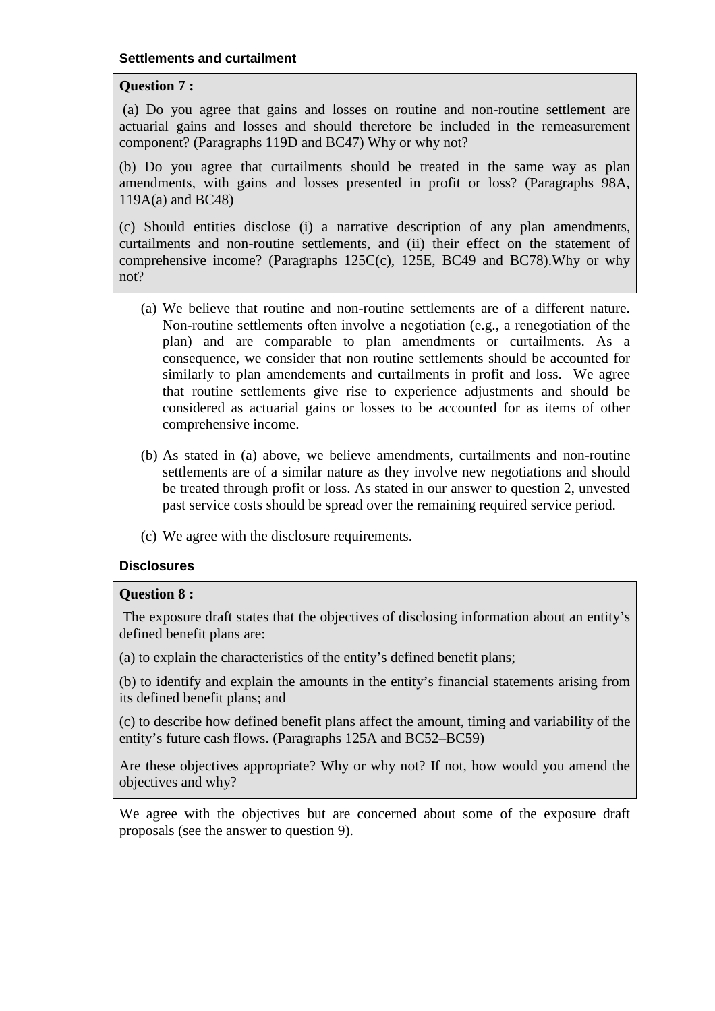## **Question 7 :**

(a) Do you agree that gains and losses on routine and non-routine settlement are actuarial gains and losses and should therefore be included in the remeasurement component? (Paragraphs 119D and BC47) Why or why not?

(b) Do you agree that curtailments should be treated in the same way as plan amendments, with gains and losses presented in profit or loss? (Paragraphs 98A, 119A(a) and BC48)

(c) Should entities disclose (i) a narrative description of any plan amendments, curtailments and non-routine settlements, and (ii) their effect on the statement of comprehensive income? (Paragraphs 125C(c), 125E, BC49 and BC78).Why or why not?

- (a) We believe that routine and non-routine settlements are of a different nature. Non-routine settlements often involve a negotiation (e.g., a renegotiation of the plan) and are comparable to plan amendments or curtailments. As a consequence, we consider that non routine settlements should be accounted for similarly to plan amendements and curtailments in profit and loss. We agree that routine settlements give rise to experience adjustments and should be considered as actuarial gains or losses to be accounted for as items of other comprehensive income.
- (b) As stated in (a) above, we believe amendments, curtailments and non-routine settlements are of a similar nature as they involve new negotiations and should be treated through profit or loss. As stated in our answer to question 2, unvested past service costs should be spread over the remaining required service period.
- (c) We agree with the disclosure requirements.

## **Disclosures**

## **Question 8 :**

The exposure draft states that the objectives of disclosing information about an entity's defined benefit plans are:

(a) to explain the characteristics of the entity's defined benefit plans;

(b) to identify and explain the amounts in the entity's financial statements arising from its defined benefit plans; and

(c) to describe how defined benefit plans affect the amount, timing and variability of the entity's future cash flows. (Paragraphs 125A and BC52–BC59)

Are these objectives appropriate? Why or why not? If not, how would you amend the objectives and why?

We agree with the objectives but are concerned about some of the exposure draft proposals (see the answer to question 9).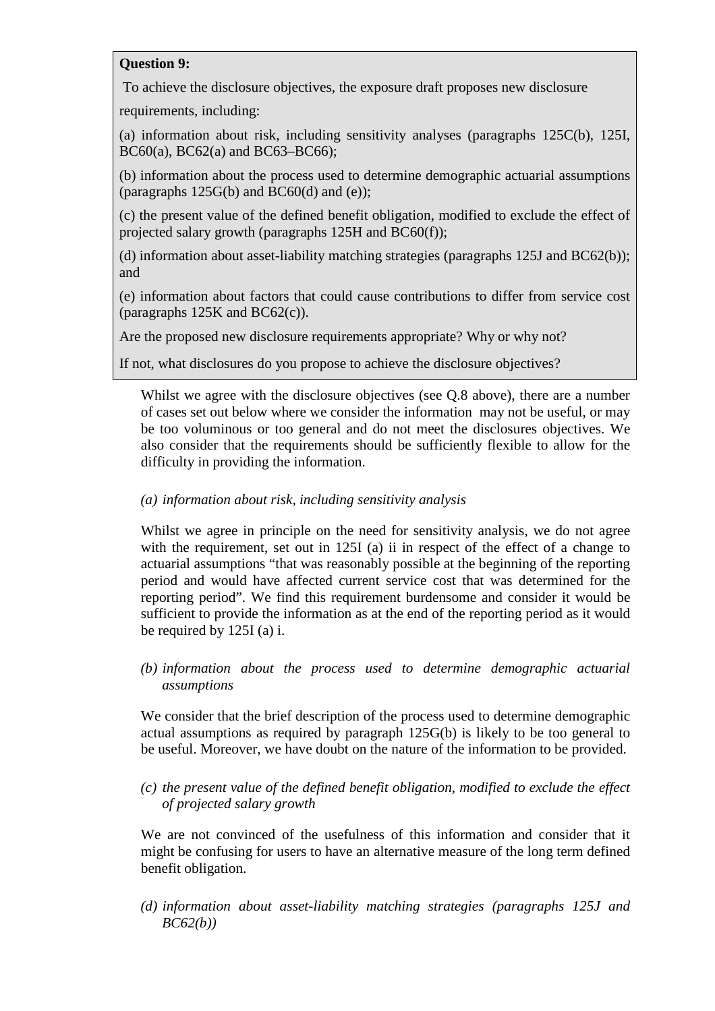## **Question 9:**

To achieve the disclosure objectives, the exposure draft proposes new disclosure

requirements, including:

(a) information about risk, including sensitivity analyses (paragraphs 125C(b), 125I, BC60(a), BC62(a) and BC63–BC66);

(b) information about the process used to determine demographic actuarial assumptions (paragraphs  $125G(b)$  and  $BC60(d)$  and  $(e)$ );

(c) the present value of the defined benefit obligation, modified to exclude the effect of projected salary growth (paragraphs 125H and BC60(f));

(d) information about asset-liability matching strategies (paragraphs 125J and BC62(b)); and

(e) information about factors that could cause contributions to differ from service cost (paragraphs 125K and BC62(c)).

Are the proposed new disclosure requirements appropriate? Why or why not?

If not, what disclosures do you propose to achieve the disclosure objectives?

Whilst we agree with the disclosure objectives (see Q.8 above), there are a number of cases set out below where we consider the information may not be useful, or may be too voluminous or too general and do not meet the disclosures objectives. We also consider that the requirements should be sufficiently flexible to allow for the difficulty in providing the information.

# *(a) information about risk, including sensitivity analysis*

Whilst we agree in principle on the need for sensitivity analysis, we do not agree with the requirement, set out in 125I (a) ii in respect of the effect of a change to actuarial assumptions "that was reasonably possible at the beginning of the reporting period and would have affected current service cost that was determined for the reporting period". We find this requirement burdensome and consider it would be sufficient to provide the information as at the end of the reporting period as it would be required by 125I (a) i.

*(b) information about the process used to determine demographic actuarial assumptions* 

We consider that the brief description of the process used to determine demographic actual assumptions as required by paragraph 125G(b) is likely to be too general to be useful. Moreover, we have doubt on the nature of the information to be provided.

*(c) the present value of the defined benefit obligation, modified to exclude the effect of projected salary growth* 

We are not convinced of the usefulness of this information and consider that it might be confusing for users to have an alternative measure of the long term defined benefit obligation.

*(d) information about asset-liability matching strategies (paragraphs 125J and BC62(b))*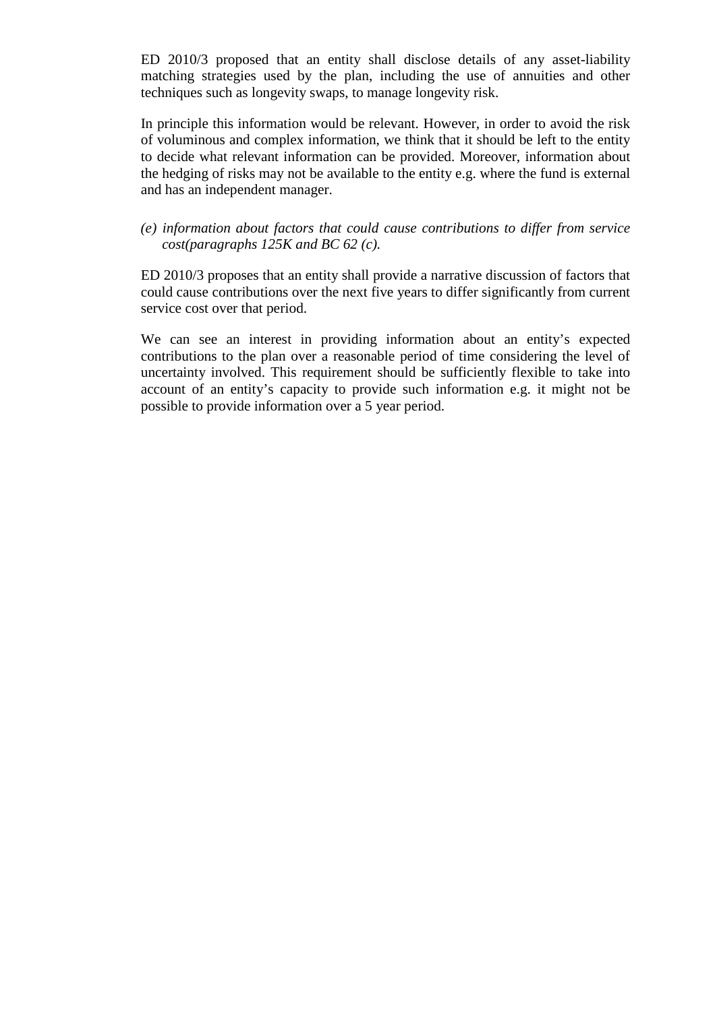ED 2010/3 proposed that an entity shall disclose details of any asset-liability matching strategies used by the plan, including the use of annuities and other techniques such as longevity swaps, to manage longevity risk.

In principle this information would be relevant. However, in order to avoid the risk of voluminous and complex information, we think that it should be left to the entity to decide what relevant information can be provided. Moreover, information about the hedging of risks may not be available to the entity e.g. where the fund is external and has an independent manager.

*(e) information about factors that could cause contributions to differ from service cost(paragraphs 125K and BC 62 (c).* 

ED 2010/3 proposes that an entity shall provide a narrative discussion of factors that could cause contributions over the next five years to differ significantly from current service cost over that period.

We can see an interest in providing information about an entity's expected contributions to the plan over a reasonable period of time considering the level of uncertainty involved. This requirement should be sufficiently flexible to take into account of an entity's capacity to provide such information e.g. it might not be possible to provide information over a 5 year period.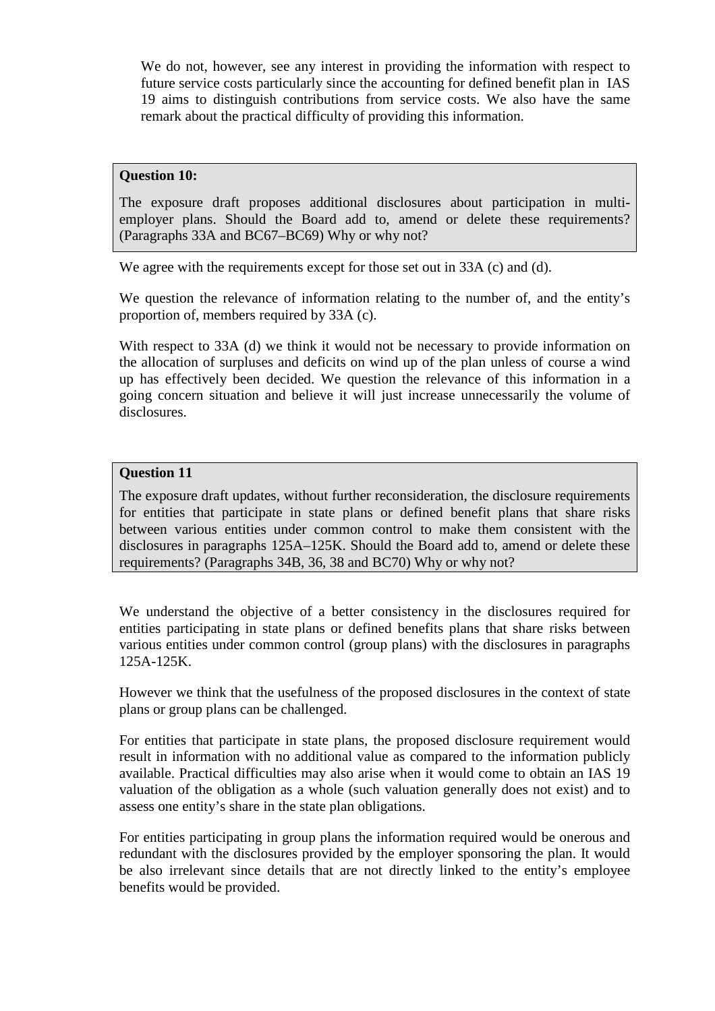We do not, however, see any interest in providing the information with respect to future service costs particularly since the accounting for defined benefit plan in IAS 19 aims to distinguish contributions from service costs. We also have the same remark about the practical difficulty of providing this information.

## **Question 10:**

The exposure draft proposes additional disclosures about participation in multiemployer plans. Should the Board add to, amend or delete these requirements? (Paragraphs 33A and BC67–BC69) Why or why not?

We agree with the requirements except for those set out in 33A (c) and (d).

We question the relevance of information relating to the number of, and the entity's proportion of, members required by 33A (c).

With respect to 33A (d) we think it would not be necessary to provide information on the allocation of surpluses and deficits on wind up of the plan unless of course a wind up has effectively been decided. We question the relevance of this information in a going concern situation and believe it will just increase unnecessarily the volume of disclosures.

## **Question 11**

The exposure draft updates, without further reconsideration, the disclosure requirements for entities that participate in state plans or defined benefit plans that share risks between various entities under common control to make them consistent with the disclosures in paragraphs 125A–125K. Should the Board add to, amend or delete these requirements? (Paragraphs 34B, 36, 38 and BC70) Why or why not?

We understand the objective of a better consistency in the disclosures required for entities participating in state plans or defined benefits plans that share risks between various entities under common control (group plans) with the disclosures in paragraphs 125A-125K.

However we think that the usefulness of the proposed disclosures in the context of state plans or group plans can be challenged.

For entities that participate in state plans, the proposed disclosure requirement would result in information with no additional value as compared to the information publicly available. Practical difficulties may also arise when it would come to obtain an IAS 19 valuation of the obligation as a whole (such valuation generally does not exist) and to assess one entity's share in the state plan obligations.

For entities participating in group plans the information required would be onerous and redundant with the disclosures provided by the employer sponsoring the plan. It would be also irrelevant since details that are not directly linked to the entity's employee benefits would be provided.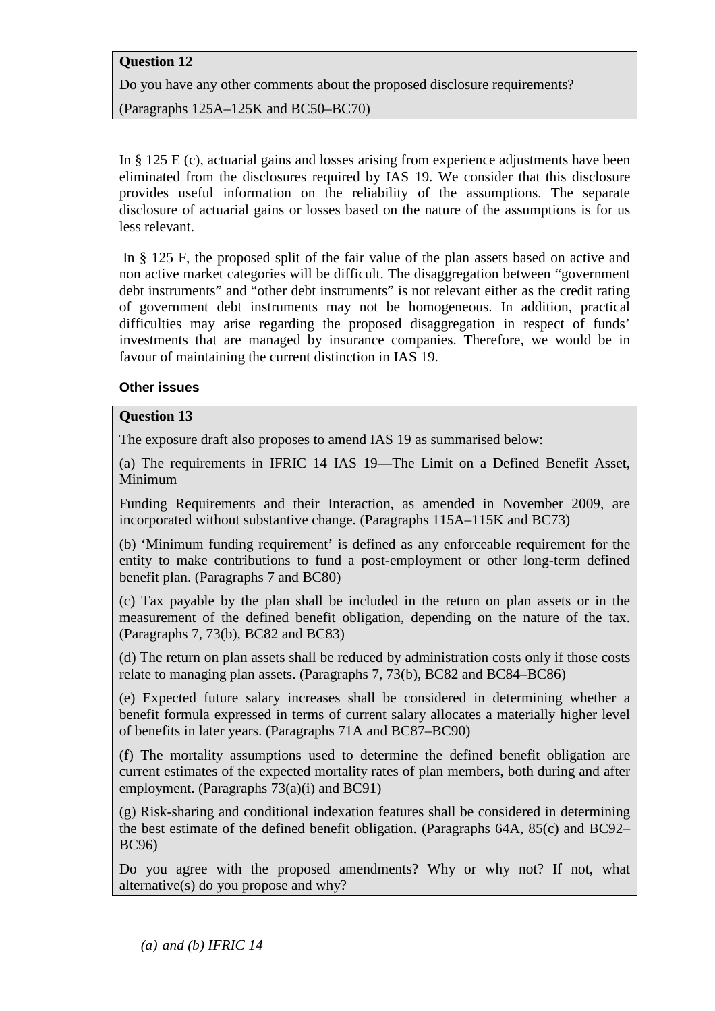# **Question 12**

Do you have any other comments about the proposed disclosure requirements?

(Paragraphs 125A–125K and BC50–BC70)

In § 125 E (c), actuarial gains and losses arising from experience adjustments have been eliminated from the disclosures required by IAS 19. We consider that this disclosure provides useful information on the reliability of the assumptions. The separate disclosure of actuarial gains or losses based on the nature of the assumptions is for us less relevant.

 In § 125 F, the proposed split of the fair value of the plan assets based on active and non active market categories will be difficult. The disaggregation between "government debt instruments" and "other debt instruments" is not relevant either as the credit rating of government debt instruments may not be homogeneous. In addition, practical difficulties may arise regarding the proposed disaggregation in respect of funds' investments that are managed by insurance companies. Therefore, we would be in favour of maintaining the current distinction in IAS 19.

## **Other issues**

## **Question 13**

The exposure draft also proposes to amend IAS 19 as summarised below:

(a) The requirements in IFRIC 14 IAS 19—The Limit on a Defined Benefit Asset, Minimum

Funding Requirements and their Interaction, as amended in November 2009, are incorporated without substantive change. (Paragraphs 115A–115K and BC73)

(b) 'Minimum funding requirement' is defined as any enforceable requirement for the entity to make contributions to fund a post-employment or other long-term defined benefit plan. (Paragraphs 7 and BC80)

(c) Tax payable by the plan shall be included in the return on plan assets or in the measurement of the defined benefit obligation, depending on the nature of the tax. (Paragraphs 7, 73(b), BC82 and BC83)

(d) The return on plan assets shall be reduced by administration costs only if those costs relate to managing plan assets. (Paragraphs 7, 73(b), BC82 and BC84–BC86)

(e) Expected future salary increases shall be considered in determining whether a benefit formula expressed in terms of current salary allocates a materially higher level of benefits in later years. (Paragraphs 71A and BC87–BC90)

(f) The mortality assumptions used to determine the defined benefit obligation are current estimates of the expected mortality rates of plan members, both during and after employment. (Paragraphs 73(a)(i) and BC91)

(g) Risk-sharing and conditional indexation features shall be considered in determining the best estimate of the defined benefit obligation. (Paragraphs 64A, 85(c) and BC92– BC96)

Do you agree with the proposed amendments? Why or why not? If not, what alternative(s) do you propose and why?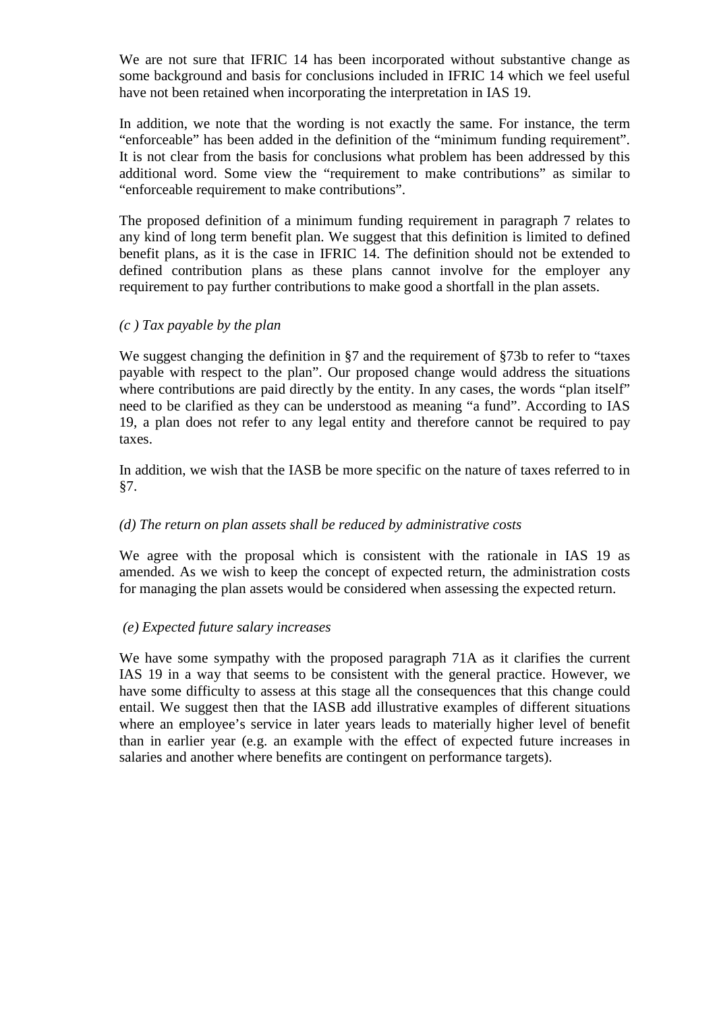We are not sure that IFRIC 14 has been incorporated without substantive change as some background and basis for conclusions included in IFRIC 14 which we feel useful have not been retained when incorporating the interpretation in IAS 19.

In addition, we note that the wording is not exactly the same. For instance, the term "enforceable" has been added in the definition of the "minimum funding requirement". It is not clear from the basis for conclusions what problem has been addressed by this additional word. Some view the "requirement to make contributions" as similar to "enforceable requirement to make contributions".

The proposed definition of a minimum funding requirement in paragraph 7 relates to any kind of long term benefit plan. We suggest that this definition is limited to defined benefit plans, as it is the case in IFRIC 14. The definition should not be extended to defined contribution plans as these plans cannot involve for the employer any requirement to pay further contributions to make good a shortfall in the plan assets.

## *(c ) Tax payable by the plan*

We suggest changing the definition in §7 and the requirement of §73b to refer to "taxes" payable with respect to the plan". Our proposed change would address the situations where contributions are paid directly by the entity. In any cases, the words "plan itself" need to be clarified as they can be understood as meaning "a fund". According to IAS 19, a plan does not refer to any legal entity and therefore cannot be required to pay taxes.

In addition, we wish that the IASB be more specific on the nature of taxes referred to in §7.

## *(d) The return on plan assets shall be reduced by administrative costs*

We agree with the proposal which is consistent with the rationale in IAS 19 as amended. As we wish to keep the concept of expected return, the administration costs for managing the plan assets would be considered when assessing the expected return.

# *(e) Expected future salary increases*

We have some sympathy with the proposed paragraph 71A as it clarifies the current IAS 19 in a way that seems to be consistent with the general practice. However, we have some difficulty to assess at this stage all the consequences that this change could entail. We suggest then that the IASB add illustrative examples of different situations where an employee's service in later years leads to materially higher level of benefit than in earlier year (e.g. an example with the effect of expected future increases in salaries and another where benefits are contingent on performance targets).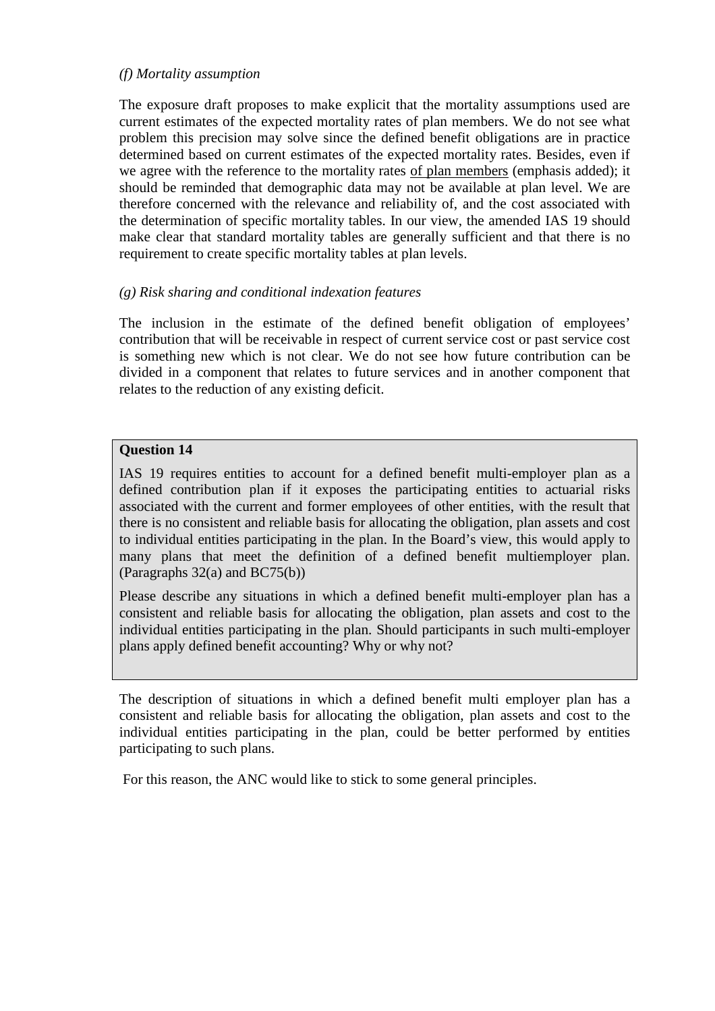## *(f) Mortality assumption*

The exposure draft proposes to make explicit that the mortality assumptions used are current estimates of the expected mortality rates of plan members. We do not see what problem this precision may solve since the defined benefit obligations are in practice determined based on current estimates of the expected mortality rates. Besides, even if we agree with the reference to the mortality rates of plan members (emphasis added); it should be reminded that demographic data may not be available at plan level. We are therefore concerned with the relevance and reliability of, and the cost associated with the determination of specific mortality tables. In our view, the amended IAS 19 should make clear that standard mortality tables are generally sufficient and that there is no requirement to create specific mortality tables at plan levels.

## *(g) Risk sharing and conditional indexation features*

The inclusion in the estimate of the defined benefit obligation of employees' contribution that will be receivable in respect of current service cost or past service cost is something new which is not clear. We do not see how future contribution can be divided in a component that relates to future services and in another component that relates to the reduction of any existing deficit.

#### **Question 14**

IAS 19 requires entities to account for a defined benefit multi-employer plan as a defined contribution plan if it exposes the participating entities to actuarial risks associated with the current and former employees of other entities, with the result that there is no consistent and reliable basis for allocating the obligation, plan assets and cost to individual entities participating in the plan. In the Board's view, this would apply to many plans that meet the definition of a defined benefit multiemployer plan. (Paragraphs 32(a) and BC75(b))

Please describe any situations in which a defined benefit multi-employer plan has a consistent and reliable basis for allocating the obligation, plan assets and cost to the individual entities participating in the plan. Should participants in such multi-employer plans apply defined benefit accounting? Why or why not?

The description of situations in which a defined benefit multi employer plan has a consistent and reliable basis for allocating the obligation, plan assets and cost to the individual entities participating in the plan, could be better performed by entities participating to such plans.

For this reason, the ANC would like to stick to some general principles.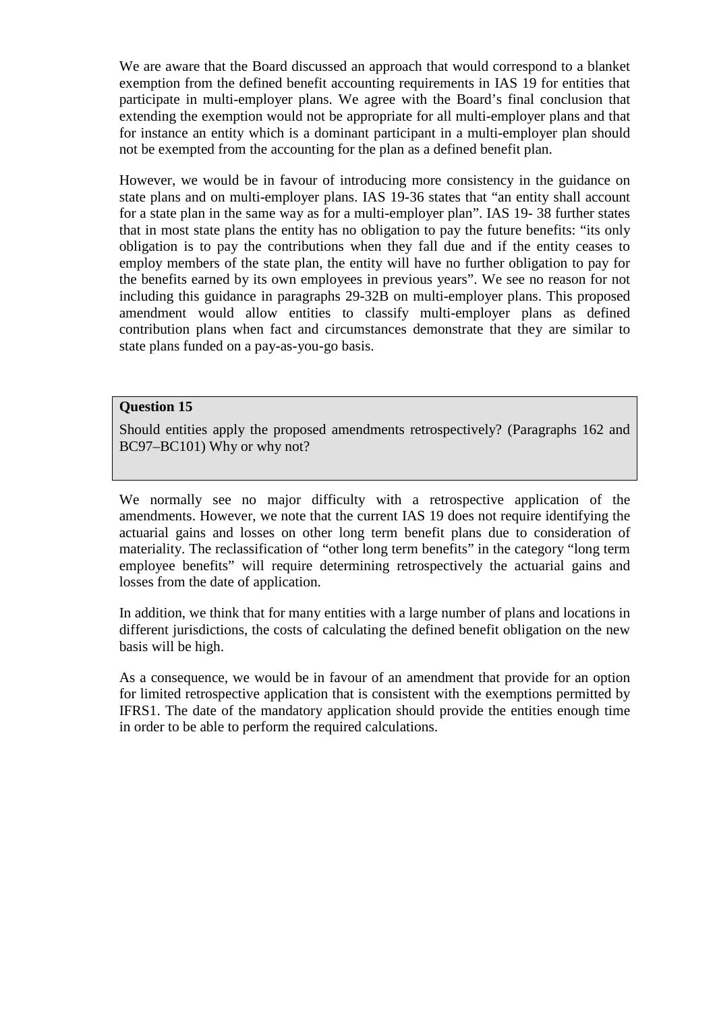We are aware that the Board discussed an approach that would correspond to a blanket exemption from the defined benefit accounting requirements in IAS 19 for entities that participate in multi-employer plans. We agree with the Board's final conclusion that extending the exemption would not be appropriate for all multi-employer plans and that for instance an entity which is a dominant participant in a multi-employer plan should not be exempted from the accounting for the plan as a defined benefit plan.

However, we would be in favour of introducing more consistency in the guidance on state plans and on multi-employer plans. IAS 19-36 states that "an entity shall account for a state plan in the same way as for a multi-employer plan". IAS 19- 38 further states that in most state plans the entity has no obligation to pay the future benefits: "its only obligation is to pay the contributions when they fall due and if the entity ceases to employ members of the state plan, the entity will have no further obligation to pay for the benefits earned by its own employees in previous years". We see no reason for not including this guidance in paragraphs 29-32B on multi-employer plans. This proposed amendment would allow entities to classify multi-employer plans as defined contribution plans when fact and circumstances demonstrate that they are similar to state plans funded on a pay-as-you-go basis.

# **Question 15**

Should entities apply the proposed amendments retrospectively? (Paragraphs 162 and BC97–BC101) Why or why not?

We normally see no major difficulty with a retrospective application of the amendments. However, we note that the current IAS 19 does not require identifying the actuarial gains and losses on other long term benefit plans due to consideration of materiality. The reclassification of "other long term benefits" in the category "long term employee benefits" will require determining retrospectively the actuarial gains and losses from the date of application.

In addition, we think that for many entities with a large number of plans and locations in different jurisdictions, the costs of calculating the defined benefit obligation on the new basis will be high.

As a consequence, we would be in favour of an amendment that provide for an option for limited retrospective application that is consistent with the exemptions permitted by IFRS1. The date of the mandatory application should provide the entities enough time in order to be able to perform the required calculations.